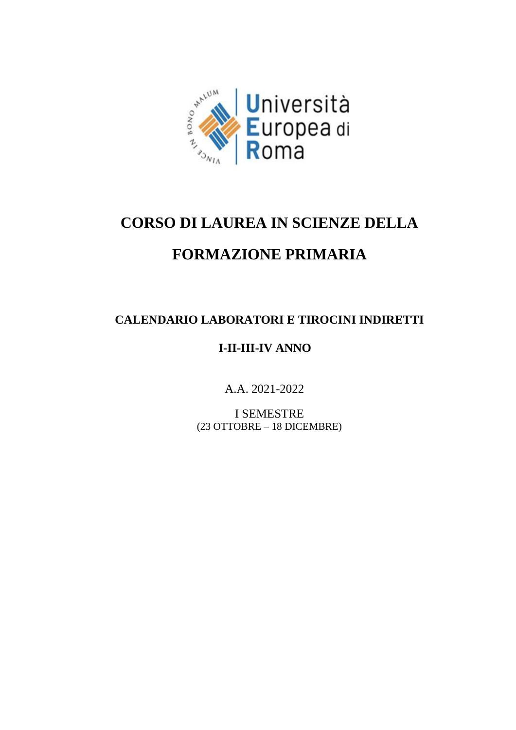

## **CORSO DI LAUREA IN SCIENZE DELLA**

## **FORMAZIONE PRIMARIA**

## **CALENDARIO LABORATORI E TIROCINI INDIRETTI**

## **I-II-III-IV ANNO**

A.A. 2021-2022

I SEMESTRE (23 OTTOBRE – 18 DICEMBRE)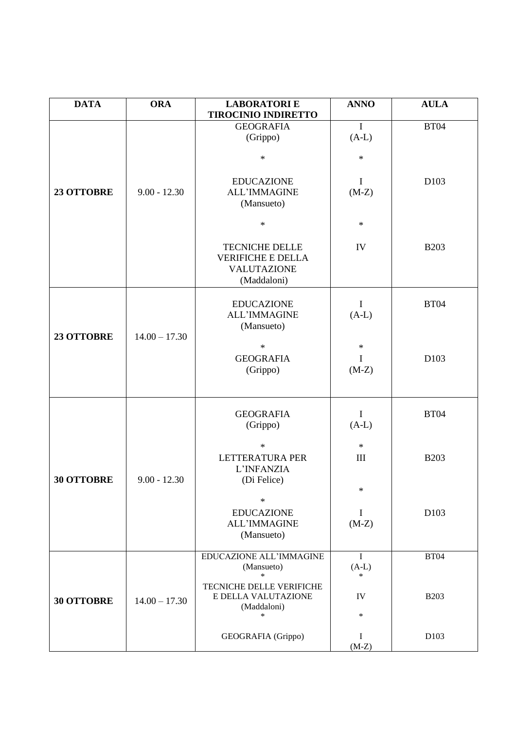| <b>DATA</b>       | <b>ORA</b>      | <b>LABORATORIE</b>                                                                 | <b>ANNO</b>            | <b>AULA</b>      |
|-------------------|-----------------|------------------------------------------------------------------------------------|------------------------|------------------|
|                   |                 | <b>TIROCINIO INDIRETTO</b><br><b>GEOGRAFIA</b>                                     | $\mathbf{I}$           | <b>BT04</b>      |
|                   |                 | (Grippo)                                                                           | $(A-L)$                |                  |
|                   |                 | $\ast$                                                                             | $\ast$                 |                  |
| 23 OTTOBRE        | $9.00 - 12.30$  | <b>EDUCAZIONE</b><br><b>ALL'IMMAGINE</b><br>(Mansueto)                             | $\bf{I}$<br>$(M-Z)$    | D <sub>103</sub> |
|                   |                 | $\ast$                                                                             | $\ast$                 |                  |
|                   |                 | <b>TECNICHE DELLE</b><br><b>VERIFICHE E DELLA</b><br>VALUTAZIONE<br>(Maddaloni)    | IV                     | <b>B203</b>      |
| 23 OTTOBRE        | $14.00 - 17.30$ | <b>EDUCAZIONE</b><br><b>ALL'IMMAGINE</b><br>(Mansueto)                             | $\mathbf I$<br>$(A-L)$ | <b>BT04</b>      |
|                   |                 | $\ast$<br><b>GEOGRAFIA</b><br>(Grippo)                                             | $\ast$<br>I<br>$(M-Z)$ | D103             |
|                   |                 | <b>GEOGRAFIA</b><br>(Grippo)                                                       | $\mathbf I$<br>$(A-L)$ | <b>BT04</b>      |
| <b>30 OTTOBRE</b> | $9.00 - 12.30$  | $\ast$<br><b>LETTERATURA PER</b><br>L'INFANZIA<br>(Di Felice)                      | $\ast$<br>III          | <b>B203</b>      |
|                   |                 | $\ast$<br><b>EDUCAZIONE</b><br><b>ALL'IMMAGINE</b><br>(Mansueto)                   | $\ast$<br>I<br>$(M-Z)$ | D <sub>103</sub> |
|                   |                 | EDUCAZIONE ALL'IMMAGINE<br>(Mansueto)                                              | $\mathbf I$<br>$(A-L)$ | <b>BT04</b>      |
| <b>30 OTTOBRE</b> | $14.00 - 17.30$ | $\ast$<br>TECNICHE DELLE VERIFICHE<br>E DELLA VALUTAZIONE<br>(Maddaloni)<br>$\ast$ | $\ast$<br>IV<br>$\ast$ | <b>B203</b>      |
|                   |                 | GEOGRAFIA (Grippo)                                                                 | I<br>$(M-Z)$           | D103             |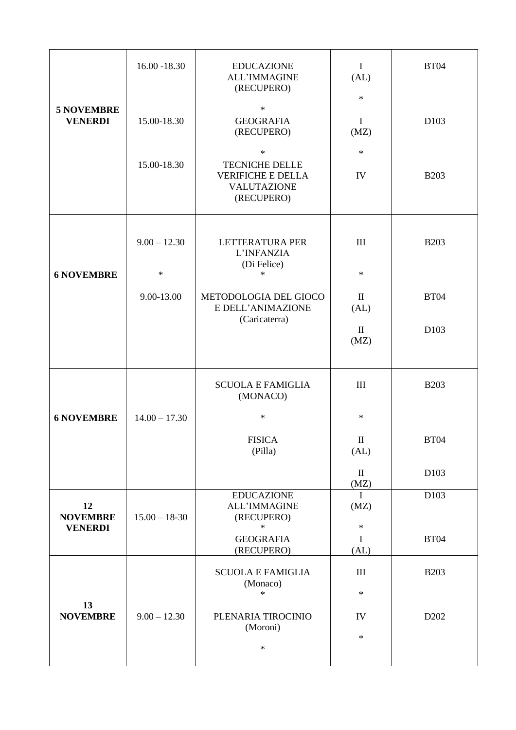|                                     | $16.00 - 18.30$          | <b>EDUCAZIONE</b><br><b>ALL'IMMAGINE</b><br>(RECUPERO)                                          | $\bf{I}$<br>(AL)<br>$\ast$                 | <b>BT04</b>      |
|-------------------------------------|--------------------------|-------------------------------------------------------------------------------------------------|--------------------------------------------|------------------|
| <b>5 NOVEMBRE</b><br><b>VENERDI</b> | 15.00-18.30              | $\ast$<br><b>GEOGRAFIA</b><br>(RECUPERO)                                                        | $\mathbf I$<br>(MZ)                        | D <sub>103</sub> |
|                                     | 15.00-18.30              | $\ast$<br><b>TECNICHE DELLE</b><br><b>VERIFICHE E DELLA</b><br><b>VALUTAZIONE</b><br>(RECUPERO) | $\ast$<br>IV                               | <b>B203</b>      |
| <b>6 NOVEMBRE</b>                   | $9.00 - 12.30$<br>$\ast$ | LETTERATURA PER<br>L'INFANZIA<br>(Di Felice)<br>$\ast$                                          | $\mathop{\mathrm{III}}\nolimits$<br>$\ast$ | <b>B203</b>      |
|                                     | 9.00-13.00               | METODOLOGIA DEL GIOCO<br>E DELL'ANIMAZIONE                                                      | $\mathbf{I}$<br>(AL)                       | <b>BT04</b>      |
|                                     |                          | (Caricaterra)                                                                                   | $\mathbf{I}$<br>(MZ)                       | D <sub>103</sub> |
|                                     |                          | <b>SCUOLA E FAMIGLIA</b><br>(MONACO)                                                            | $\mathop{\mathrm{III}}\nolimits$           | <b>B203</b>      |
| <b>6 NOVEMBRE</b>                   | $14.00 - 17.30$          | $\ast$                                                                                          | $\ast$                                     |                  |
|                                     |                          | <b>FISICA</b><br>(Pilla)                                                                        | $\rm{II}$<br>(AL)                          | <b>BT04</b>      |
|                                     |                          |                                                                                                 | $\mathbf{I}$<br>(MZ)                       | D <sub>103</sub> |
| 12<br><b>NOVEMBRE</b>               | $15.00 - 18-30$          | <b>EDUCAZIONE</b><br><b>ALL'IMMAGINE</b><br>(RECUPERO)<br>$\ast$                                | $\mathbf{I}$<br>(MZ)<br>$\ast$             | D <sub>103</sub> |
| <b>VENERDI</b>                      |                          | <b>GEOGRAFIA</b><br>(RECUPERO)                                                                  | $\bf{I}$<br>(AL)                           | <b>BT04</b>      |
|                                     |                          | <b>SCUOLA E FAMIGLIA</b>                                                                        | $\mathop{\rm III}$                         | <b>B203</b>      |
|                                     |                          | (Monaco)<br>$\ast$                                                                              | $\ast$                                     |                  |
| 13<br><b>NOVEMBRE</b>               | $9.00 - 12.30$           | PLENARIA TIROCINIO<br>(Moroni)                                                                  | IV                                         | D <sub>202</sub> |
|                                     |                          | $\ast$                                                                                          | $\ast$                                     |                  |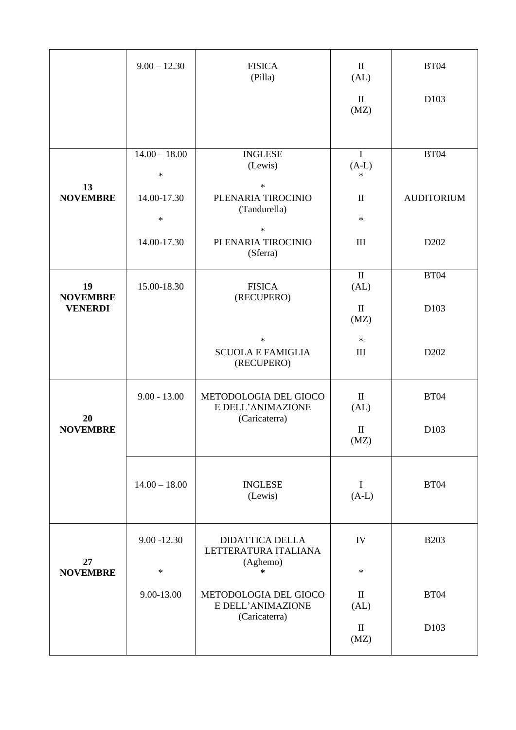|                       | $9.00 - 12.30$            | <b>FISICA</b><br>(Pilla)                         | $\mathbf{I}$<br>(AL)                       | <b>BT04</b>       |
|-----------------------|---------------------------|--------------------------------------------------|--------------------------------------------|-------------------|
|                       |                           |                                                  | $\mathbf{I}$<br>(MZ)                       | D <sub>103</sub>  |
| 13                    | $14.00 - 18.00$<br>$\ast$ | <b>INGLESE</b><br>(Lewis)<br>$\ast$              | $\mathbf I$<br>$(A-L)$<br>$\ast$           | <b>BT04</b>       |
| <b>NOVEMBRE</b>       | 14.00-17.30<br>$\ast$     | PLENARIA TIROCINIO<br>(Tandurella)<br>$\ast$     | $\mathbf{I}$<br>$\ast$                     | <b>AUDITORIUM</b> |
|                       | 14.00-17.30               | PLENARIA TIROCINIO<br>(Sferra)                   | $\mathop{\mathrm{III}}\nolimits$           | D <sub>202</sub>  |
| 19<br><b>NOVEMBRE</b> | 15.00-18.30               | <b>FISICA</b><br>(RECUPERO)                      | $\mathbf{I}$<br>(AL)                       | <b>BT04</b>       |
| <b>VENERDI</b>        |                           |                                                  | $\mathbf{I}$<br>(MZ)                       | D <sub>103</sub>  |
|                       |                           | $\ast$<br><b>SCUOLA E FAMIGLIA</b><br>(RECUPERO) | $\ast$<br>$\mathop{\mathrm{III}}\nolimits$ | D <sub>202</sub>  |
|                       | $9.00 - 13.00$            | METODOLOGIA DEL GIOCO<br>E DELL'ANIMAZIONE       | $\mathbf{I}$<br>(AL)                       | <b>BT04</b>       |
| 20<br><b>NOVEMBRE</b> |                           | (Caricaterra)                                    | $\mathbf{I}$<br>(MZ)                       | D <sub>103</sub>  |
|                       | $14.00 - 18.00$           | <b>INGLESE</b><br>(Lewis)                        | $\mathbf I$<br>$(A-L)$                     | <b>BT04</b>       |
|                       | $9.00 - 12.30$            | <b>DIDATTICA DELLA</b><br>LETTERATURA ITALIANA   | IV                                         | <b>B203</b>       |
| 27<br><b>NOVEMBRE</b> | $\ast$                    | (Aghemo)<br>$\ast$                               | $\ast$                                     |                   |
|                       | 9.00-13.00                | METODOLOGIA DEL GIOCO<br>E DELL'ANIMAZIONE       | $\mathbf{I}$<br>(AL)                       | <b>BT04</b>       |
|                       |                           | (Caricaterra)                                    | $\mathbf{I}$<br>(MZ)                       | D <sub>103</sub>  |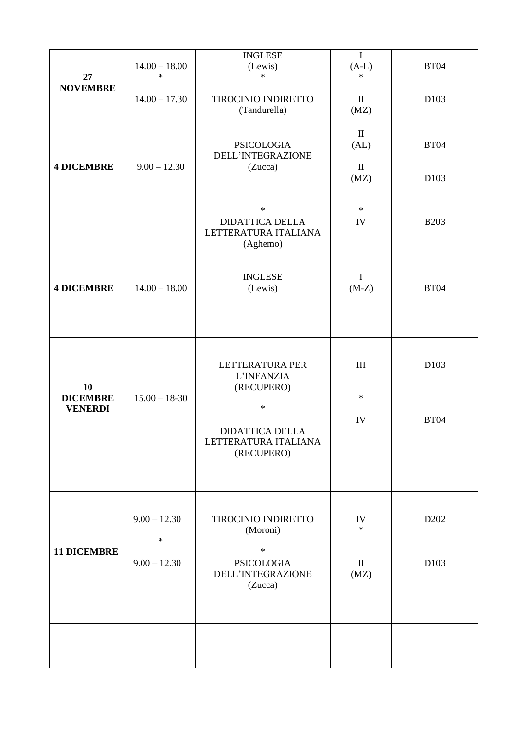| 27<br><b>NOVEMBRE</b>                   | $14.00 - 18.00$<br>$\ast$ | <b>INGLESE</b><br>(Lewis)<br>$\ast$                                  | $\mathbf I$<br>$(A-L)$<br>$\ast$ | <b>BT04</b>      |
|-----------------------------------------|---------------------------|----------------------------------------------------------------------|----------------------------------|------------------|
|                                         | $14.00 - 17.30$           | TIROCINIO INDIRETTO<br>(Tandurella)                                  | $\rm II$<br>(MZ)                 | D103             |
| <b>4 DICEMBRE</b>                       | $9.00 - 12.30$            | <b>PSICOLOGIA</b><br>DELL'INTEGRAZIONE<br>(Zucca)                    | $\rm II$<br>(AL)<br>$\rm II$     | <b>BT04</b>      |
|                                         |                           |                                                                      | (MZ)                             | D103             |
|                                         |                           | $\ast$<br><b>DIDATTICA DELLA</b><br>LETTERATURA ITALIANA<br>(Aghemo) | $\ast$<br>IV                     | <b>B203</b>      |
| <b>4 DICEMBRE</b>                       | $14.00 - 18.00$           | <b>INGLESE</b><br>(Lewis)                                            | $\bf{I}$<br>$(M-Z)$              | <b>BT04</b>      |
| 10<br><b>DICEMBRE</b><br><b>VENERDI</b> | $15.00 - 18-30$           | LETTERATURA PER<br>L'INFANZIA<br>(RECUPERO)<br>$\ast$                | $\rm III$<br>$\ast$              | D103             |
|                                         |                           | <b>DIDATTICA DELLA</b><br>LETTERATURA ITALIANA<br>(RECUPERO)         | IV                               | <b>BT04</b>      |
|                                         | $9.00 - 12.30$<br>$\ast$  | TIROCINIO INDIRETTO<br>(Moroni)                                      | IV<br>$\ast$                     | D <sub>202</sub> |
| <b>11 DICEMBRE</b>                      | $9.00 - 12.30$            | $\ast$<br><b>PSICOLOGIA</b><br>DELL'INTEGRAZIONE<br>(Zucca)          | $\mathbf{I}$<br>(MZ)             | D103             |